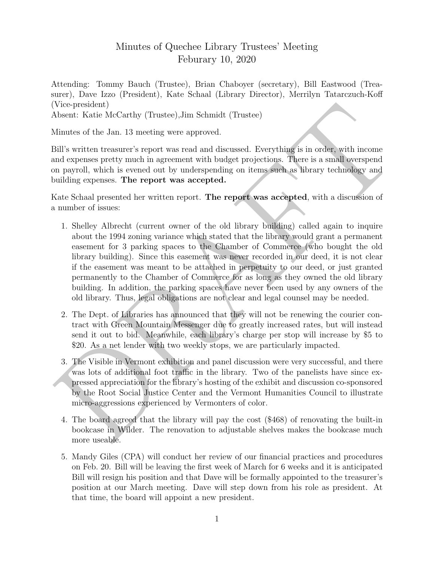## Minutes of Quechee Library Trustees' Meeting Feburary 10, 2020

Attending: Tommy Bauch (Trustee), Brian Chaboyer (secretary), Bill Eastwood (Treasurer), Dave Izzo (President), Kate Schaal (Library Director), Merrilyn Tatarczuch-Koff (Vice-president)

Absent: Katie McCarthy (Trustee),Jim Schmidt (Trustee)

Minutes of the Jan. 13 meeting were approved.

Bill's written treasurer's report was read and discussed. Everything is in order, with income and expenses pretty much in agreement with budget projections. There is a small overspend on payroll, which is evened out by underspending on items such as library technology and building expenses. The report was accepted.

Kate Schaal presented her written report. The report was accepted, with a discussion of a number of issues:

- Vice-president)<br>
Whavet: Katie McCarrby (Trustee),<br>
Jim Schmidt (Trustee)<br>
Minutes of the Jan. 13 meeting were approved.<br>
3ill's written treasurer's report was read and discussed. Everything is in order, with income<br>
onli 1. Shelley Albrecht (current owner of the old library building) called again to inquire about the 1994 zoning variance which stated that the library would grant a permanent easement for 3 parking spaces to the Chamber of Commerce (who bought the old library building). Since this easement was never recorded in our deed, it is not clear if the easement was meant to be attached in perpetuity to our deed, or just granted permanently to the Chamber of Commerce for as long as they owned the old library building. In addition, the parking spaces have never been used by any owners of the old library. Thus, legal obligations are not clear and legal counsel may be needed.
	- 2. The Dept. of Libraries has announced that they will not be renewing the courier contract with Green Mountain Messenger due to greatly increased rates, but will instead send it out to bid. Meanwhile, each library's charge per stop will increase by \$5 to \$20. As a net lender with two weekly stops, we are particularly impacted.
	- 3. The Visible in Vermont exhibition and panel discussion were very successful, and there was lots of additional foot traffic in the library. Two of the panelists have since expressed appreciation for the library's hosting of the exhibit and discussion co-sponsored by the Root Social Justice Center and the Vermont Humanities Council to illustrate micro-aggressions experienced by Vermonters of color.
	- 4. The board agreed that the library will pay the cost (\$468) of renovating the built-in bookcase in Wilder. The renovation to adjustable shelves makes the bookcase much more useable.
	- 5. Mandy Giles (CPA) will conduct her review of our financial practices and procedures on Feb. 20. Bill will be leaving the first week of March for 6 weeks and it is anticipated Bill will resign his position and that Dave will be formally appointed to the treasurer's position at our March meeting. Dave will step down from his role as president. At that time, the board will appoint a new president.